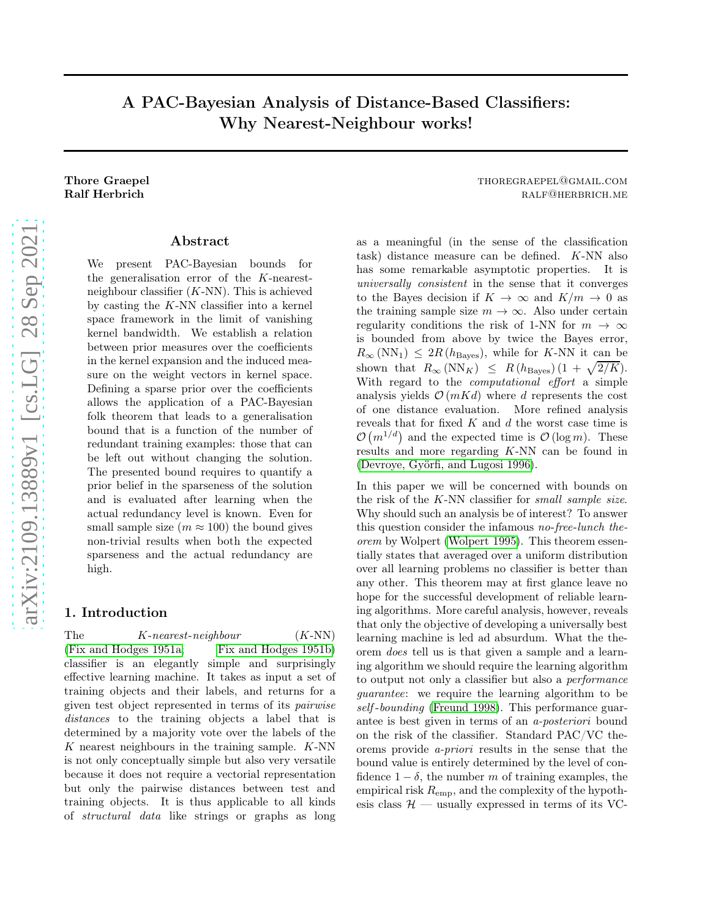# A PAC-Bayesian Analysis of Distance-Based Classifiers: Why Nearest-Neighbour works!

### Abstract

We present PAC-Bayesian bounds for the generalisation error of the K-nearestneighbour classifier  $(K-NN)$ . This is achieved by casting the  $K-NN$  classifier into a kernel space framework in the limit of vanishing kernel bandwidth. We establish a relation between prior measures over the coefficients in the kernel expansion and the induced measure on the weight vectors in kernel space. Defining a sparse prior over the coefficients allows the application of a PAC-Bayesian folk theorem that leads to a generalisation bound that is a function of the number of redundant training examples: those that can be left out without changing the solution. The presented bound requires to quantify a prior belief in the sparseness of the solution and is evaluated after learning when the actual redundancy level is known. Even for small sample size  $(m \approx 100)$  the bound gives non-trivial results when both the expected sparseness and the actual redundancy are high.

### 1. Introduction

The  $K\text{-}nearest-neighbor$   $(K\text{-}NN)$ [\(Fix and Hodges 1951a;](#page-7-0) [Fix and Hodges 1951b\)](#page-7-1) classifier is an elegantly simple and surprisingly effective learning machine. It takes as input a set of training objects and their labels, and returns for a given test object represented in terms of its pairwise distances to the training objects a label that is determined by a majority vote over the labels of the  $K$  nearest neighbours in the training sample.  $K-NN$ is not only conceptually simple but also very versatile because it does not require a vectorial representation but only the pairwise distances between test and training objects. It is thus applicable to all kinds of structural data like strings or graphs as long

Thore Graepel **Thore Graepel** through the set of the set of the set of the set of the set of the set of the set of the set of the set of the set of the set of the set of the set of the set of the set of the set of the set Ralf Herbrich **Ralf Allen and Allen and Allen and Allen and Allen and Allen and Allen and Allen and Allen and A** 

> as a meaningful (in the sense of the classification task) distance measure can be defined. K-NN also has some remarkable asymptotic properties. It is universally consistent in the sense that it converges to the Bayes decision if  $K \to \infty$  and  $K/m \to 0$  as the training sample size  $m \to \infty$ . Also under certain regularity conditions the risk of 1-NN for  $m \to \infty$ is bounded from above by twice the Bayes error,  $R_{\infty}$  (NN<sub>1</sub>)  $\leq 2R$  ( $h_{\text{Bayes}}$ ), while for K-NN it can be shown that  $R_{\infty}$  (NN<sub>K</sub>)  $\leq R (h_{\text{Bayes}}) (1 + \sqrt{2/K}).$ With regard to the *computational* effort a simple analysis yields  $\mathcal{O}(mKd)$  where d represents the cost of one distance evaluation. More refined analysis reveals that for fixed  $K$  and  $d$  the worst case time is  $\mathcal{O}(m^{1/d})$  and the expected time is  $\mathcal{O}(\log m)$ . These results and more regarding K-NN can be found in [\(Devroye, Györfi, and Lugosi 1996\)](#page-7-2).

> In this paper we will be concerned with bounds on the risk of the K-NN classifier for small sample size. Why should such an analysis be of interest? To answer this question consider the infamous no-free-lunch theorem by Wolpert [\(Wolpert 1995\)](#page-7-3). This theorem essentially states that averaged over a uniform distribution over all learning problems no classifier is better than any other. This theorem may at first glance leave no hope for the successful development of reliable learning algorithms. More careful analysis, however, reveals that only the objective of developing a universally best learning machine is led ad absurdum. What the theorem does tell us is that given a sample and a learning algorithm we should require the learning algorithm to output not only a classifier but also a performance guarantee: we require the learning algorithm to be self-bounding [\(Freund 1998\)](#page-7-4). This performance guarantee is best given in terms of an a-posteriori bound on the risk of the classifier. Standard PAC/VC theorems provide a-priori results in the sense that the bound value is entirely determined by the level of confidence  $1 - \delta$ , the number m of training examples, the empirical risk  $R_{\rm{emp}}$ , and the complexity of the hypothesis class  $\mathcal{H}$  — usually expressed in terms of its VC-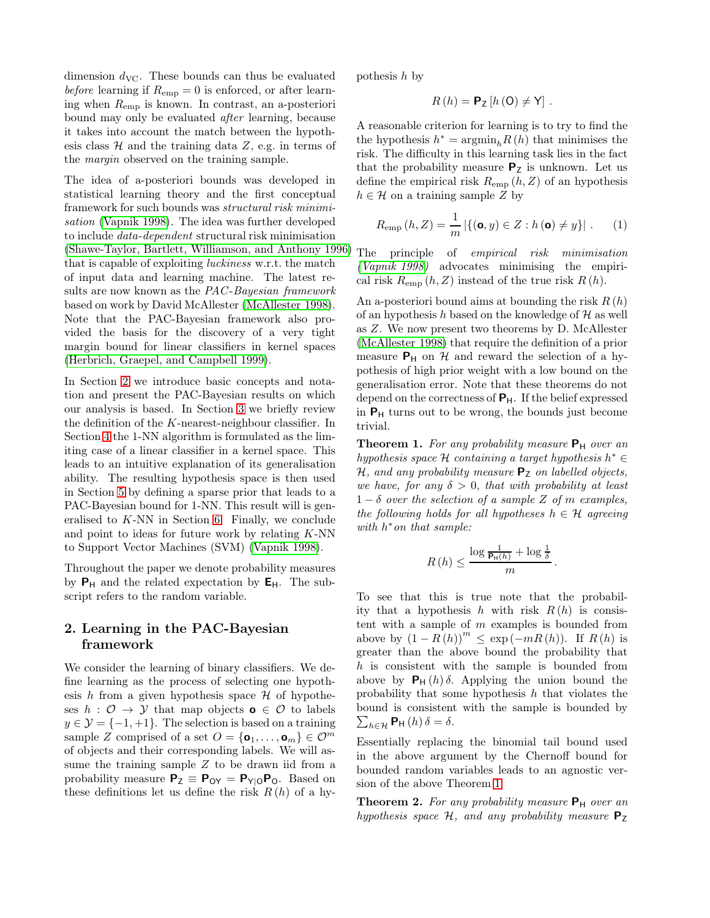dimension  $d_{\text{VC}}$ . These bounds can thus be evaluated before learning if  $R_{\text{emp}} = 0$  is enforced, or after learning when  $R_{\text{emp}}$  is known. In contrast, an a-posteriori bound may only be evaluated after learning, because it takes into account the match between the hypothesis class  $H$  and the training data  $Z$ , e.g. in terms of the margin observed on the training sample.

The idea of a-posteriori bounds was developed in statistical learning theory and the first conceptual framework for such bounds was structural risk minimisation [\(Vapnik 1998\)](#page-7-5). The idea was further developed to include data-dependent structural risk minimisation [\(Shawe-Taylor, Bartlett, Williamson, and Anthony 1996\)](#page-7-6) that is capable of exploiting luckiness w.r.t. the match of input data and learning machine. The latest results are now known as the PAC-Bayesian framework based on work by David McAllester [\(McAllester 1998\)](#page-7-7). Note that the PAC-Bayesian framework also provided the basis for the discovery of a very tight margin bound for linear classifiers in kernel spaces [\(Herbrich, Graepel, and Campbell 1999\)](#page-7-8).

In Section [2](#page-1-0) we introduce basic concepts and notation and present the PAC-Bayesian results on which our analysis is based. In Section [3](#page-2-0) we briefly review the definition of the K-nearest-neighbour classifier. In Section [4](#page-2-1) the 1-NN algorithm is formulated as the limiting case of a linear classifier in a kernel space. This leads to an intuitive explanation of its generalisation ability. The resulting hypothesis space is then used in Section [5](#page-4-0) by defining a sparse prior that leads to a PAC-Bayesian bound for 1-NN. This result will is generalised to K-NN in Section [6.](#page-5-0) Finally, we conclude and point to ideas for future work by relating  $K-NN$ to Support Vector Machines (SVM) [\(Vapnik 1998\)](#page-7-5).

Throughout the paper we denote probability measures by  $P_H$  and the related expectation by  $E_H$ . The subscript refers to the random variable.

## <span id="page-1-0"></span>2. Learning in the PAC-Bayesian framework

We consider the learning of binary classifiers. We define learning as the process of selecting one hypothesis h from a given hypothesis space  $\mathcal H$  of hypotheses  $h : \mathcal{O} \to \mathcal{Y}$  that map objects  $\mathbf{o} \in \mathcal{O}$  to labels  $y \in \mathcal{Y} = \{-1, +1\}$ . The selection is based on a training sample Z comprised of a set  $O = {\mathbf{\lbrace o_1, \ldots, o_m \rbrace}} \in \mathcal{O}^m$ of objects and their corresponding labels. We will assume the training sample  $Z$  to be drawn iid from a probability measure  $P_Z \equiv P_{OY} = P_{Y|O} P_O$ . Based on these definitions let us define the risk  $R(h)$  of a hypothesis h by

$$
R(h) = \mathbf{P}_{\mathsf{Z}}\left[h\left(\mathsf{O}\right) \neq \mathsf{Y}\right].
$$

A reasonable criterion for learning is to try to find the the hypothesis  $h^* = \operatorname{argmin}_h R(h)$  that minimises the risk. The difficulty in this learning task lies in the fact that the probability measure  $P_Z$  is unknown. Let us define the empirical risk  $R_{\text{emp}}(h, Z)$  of an hypothesis  $h \in \mathcal{H}$  on a training sample Z by

<span id="page-1-2"></span>
$$
R_{\text{emp}}(h, Z) = \frac{1}{m} |\{ (\mathbf{o}, y) \in Z : h(\mathbf{o}) \neq y \}|.
$$
 (1)

The principle of empirical risk minimisation [\(Vapnik 1998\)](#page-7-5) advocates minimising the empirical risk  $R_{\text{emp}}(h, Z)$  instead of the true risk  $R(h)$ .

An a-posteriori bound aims at bounding the risk  $R(h)$ of an hypothesis h based on the knowledge of  $\mathcal H$  as well as Z. We now present two theorems by D. McAllester [\(McAllester 1998\)](#page-7-7) that require the definition of a prior measure  $P_H$  on H and reward the selection of a hypothesis of high prior weight with a low bound on the generalisation error. Note that these theorems do not depend on the correctness of  $P_H$ . If the belief expressed in  $P_H$  turns out to be wrong, the bounds just become trivial.

<span id="page-1-1"></span>**Theorem 1.** For any probability measure  $P_H$  over an  $h$ ypothesis space  $H$  containing a target hypothesis  $h^* \in$  $H$ , and any probability measure  $P_Z$  on labelled objects, we have, for any  $\delta > 0$ , that with probability at least  $1 - \delta$  over the selection of a sample Z of m examples, the following holds for all hypotheses  $h \in \mathcal{H}$  agreeing with  $h^*$  on that sample:

$$
R(h) \leq \frac{\log \frac{1}{\mathsf{P}_{\mathsf{H}}(h)} + \log \frac{1}{\delta}}{m}.
$$

To see that this is true note that the probability that a hypothesis h with risk  $R(h)$  is consistent with a sample of  $m$  examples is bounded from above by  $(1 - R(h))^{m} \leq \exp(-mR(h))$ . If  $R(h)$  is greater than the above bound the probability that h is consistent with the sample is bounded from above by  $P_H(h)\delta$ . Applying the union bound the probability that some hypothesis  $h$  that violates the bound is consistent with the sample is bounded by  $\sum_{h \in \mathcal{H}} \mathbf{P}_{\mathsf{H}}(h) \delta = \delta.$ 

Essentially replacing the binomial tail bound used in the above argument by the Chernoff bound for bounded random variables leads to an agnostic version of the above Theorem [1.](#page-1-1)

<span id="page-1-3"></span>**Theorem 2.** For any probability measure  $P_H$  over an hypothesis space  $H$ , and any probability measure  $P_Z$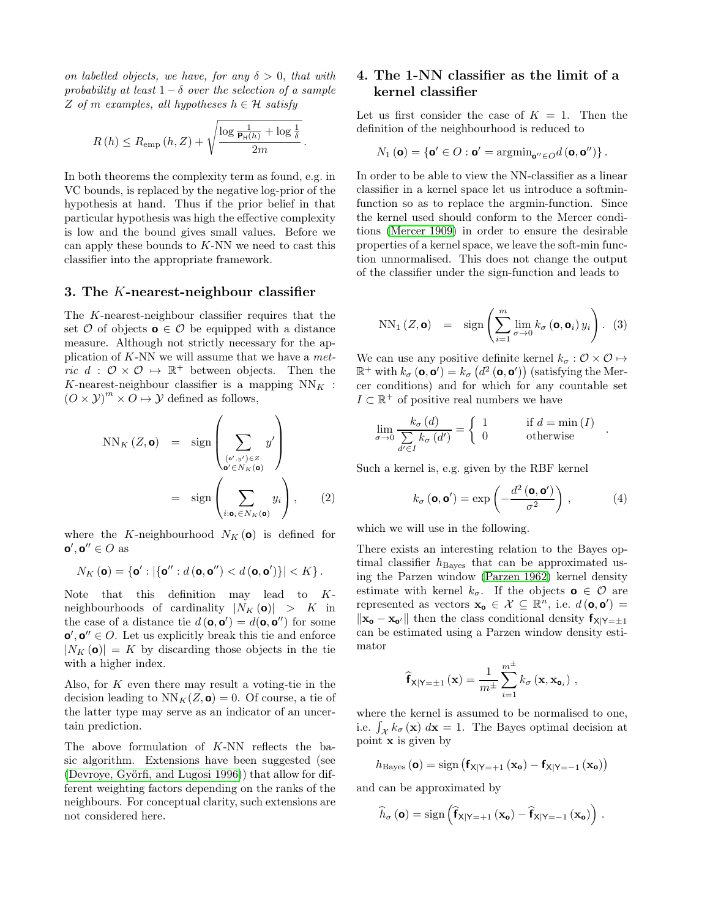on labelled objects, we have, for any  $\delta > 0$ , that with probability at least  $1 - \delta$  over the selection of a sample Z of m examples, all hypotheses  $h \in \mathcal{H}$  satisfy

$$
R(h) \le R_{\text{emp}}(h, Z) + \sqrt{\frac{\log \frac{1}{\mathbf{P}_{\text{H}}(h)} + \log \frac{1}{\delta}}{2m}}
$$

.

In both theorems the complexity term as found, e.g. in VC bounds, is replaced by the negative log-prior of the hypothesis at hand. Thus if the prior belief in that particular hypothesis was high the effective complexity is low and the bound gives small values. Before we can apply these bounds to  $K-NN$  we need to cast this classifier into the appropriate framework.

### <span id="page-2-0"></span>3. The K-nearest-neighbour classifier

The K-nearest-neighbour classifier requires that the set  $\mathcal O$  of objects  $\mathbf o \in \mathcal O$  be equipped with a distance measure. Although not strictly necessary for the application of  $K-NN$  we will assume that we have a metric  $d : \mathcal{O} \times \mathcal{O} \mapsto \mathbb{R}^+$  between objects. Then the K-nearest-neighbour classifier is a mapping  $NN_K$ :  $(O \times \mathcal{Y})^m \times O \mapsto \mathcal{Y}$  defined as follows,

$$
NN_K(Z, \mathbf{o}) = \text{sign}\left(\sum_{\substack{(\mathbf{o}', y') \in Z:\\ \mathbf{o}' \in N_K(\mathbf{o})}} y'\right)
$$

$$
= \text{sign}\left(\sum_{i: \mathbf{o}_i \in N_K(\mathbf{o})} y_i\right), \qquad (2)
$$

where the K-neighbourhood  $N_K(\mathbf{o})$  is defined for  $\mathbf{o}', \mathbf{o}'' \in O$  as

$$
N_K\left(\mathbf{o}\right) = \left\{ \mathbf{o}' : \left|\left\{ \mathbf{o}'' : d\left(\mathbf{o}, \mathbf{o}''\right) < d\left(\mathbf{o}, \mathbf{o}'\right)\right\}\right| < K \right\}.
$$

Note that this definition may lead to Kneighbourhoods of cardinality  $|N_K(\mathbf{o})| > K$  in the case of a distance tie  $d(\mathbf{o}, \mathbf{o}') = d(\mathbf{o}, \mathbf{o}'')$  for some  $\mathbf{o}'$ ,  $\mathbf{o}'' \in O$ . Let us explicitly break this tie and enforce  $|N_K(\mathbf{o})| = K$  by discarding those objects in the tie with a higher index.

Also, for  $K$  even there may result a voting-tie in the decision leading to  $NN_K(Z, \mathbf{o}) = 0$ . Of course, a tie of the latter type may serve as an indicator of an uncertain prediction.

The above formulation of K-NN reflects the basic algorithm. Extensions have been suggested (see [\(Devroye, Györfi, and Lugosi 1996\)](#page-7-2)) that allow for different weighting factors depending on the ranks of the neighbours. For conceptual clarity, such extensions are not considered here.

# <span id="page-2-1"></span>4. The 1-NN classifier as the limit of a kernel classifier

Let us first consider the case of  $K = 1$ . Then the definition of the neighbourhood is reduced to

$$
N_1\left(\mathbf{o}\right) = \left\{ \mathbf{o}' \in O : \mathbf{o}' = \mathrm{argmin}_{\mathbf{o}'' \in O} d\left(\mathbf{o}, \mathbf{o}''\right) \right\}.
$$

In order to be able to view the NN-classifier as a linear classifier in a kernel space let us introduce a softminfunction so as to replace the argmin-function. Since the kernel used should conform to the Mercer conditions [\(Mercer 1909\)](#page-7-9) in order to ensure the desirable properties of a kernel space, we leave the soft-min function unnormalised. This does not change the output of the classifier under the sign-function and leads to

<span id="page-2-3"></span>
$$
NN_1(Z, \mathbf{o}) = \text{sign}\left(\sum_{i=1}^m \lim_{\sigma \to 0} k_{\sigma}(\mathbf{o}, \mathbf{o}_i) y_i\right). (3)
$$

We can use any positive definite kernel  $k_{\sigma} : \mathcal{O} \times \mathcal{O} \mapsto$  $\mathbb{R}^+$  with  $k_{\sigma}(\mathbf{o}, \mathbf{o}') = k_{\sigma} (d^2 (\mathbf{o}, \mathbf{o}'))$  (satisfying the Mercer conditions) and for which for any countable set  $I\subset\mathbb{R}^+$  of positive real numbers we have

$$
\lim_{\sigma \to 0} \frac{k_{\sigma}(d)}{\sum_{d' \in I} k_{\sigma}(d')} = \begin{cases} 1 & \text{if } d = \min(I) \\ 0 & \text{otherwise} \end{cases} .
$$

Such a kernel is, e.g. given by the RBF kernel

<span id="page-2-2"></span>
$$
k_{\sigma}\left(\mathbf{0},\mathbf{0}'\right) = \exp\left(-\frac{d^2\left(\mathbf{0},\mathbf{0}'\right)}{\sigma^2}\right),\tag{4}
$$

which we will use in the following.

There exists an interesting relation to the Bayes optimal classifier  $h_{\text{Bayes}}$  that can be approximated using the Parzen window [\(Parzen 1962\)](#page-7-10) kernel density estimate with kernel  $k_{\sigma}$ . If the objects **o**  $\in \mathcal{O}$  are represented as vectors  $\mathbf{x_o} \in \mathcal{X} \subseteq \mathbb{R}^n$ , i.e.  $d(\mathbf{o}, \mathbf{o}') =$  $\|\mathbf{x_o} - \mathbf{x_{o'}}\|$  then the class conditional density  $\mathbf{f}_{\mathsf{X}|\mathsf{Y}=\pm 1}$ can be estimated using a Parzen window density estimator

$$
\widehat{\mathbf{f}}_{\mathsf{X}|\mathsf{Y}=\pm 1}(\mathbf{x}) = \frac{1}{m^{\pm}} \sum_{i=1}^{m^{\pm}} k_{\sigma}(\mathbf{x}, \mathbf{x}_{\mathbf{o}_i}),
$$

where the kernel is assumed to be normalised to one, i.e.  $\int_{\mathcal{X}} k_{\sigma}(\mathbf{x}) d\mathbf{x} = 1$ . The Bayes optimal decision at point  $x$  is given by

$$
h_{\text{Bayes}}\left(\textbf{o}\right)=\text{sign}\left(f_{X|Y=+1}\left(\textbf{x}_{\textbf{o}}\right)-f_{X|Y=-1}\left(\textbf{x}_{\textbf{o}}\right)\right)
$$

and can be approximated by

$$
\widehat{h}_{\sigma}\left(\boldsymbol{o}\right)=\operatorname{sign}\left(\widehat{\boldsymbol{f}}_{X|Y=+1}\left(\mathbf{x_o}\right)-\widehat{\boldsymbol{f}}_{X|Y=-1}\left(\mathbf{x_o}\right)\right)\,.
$$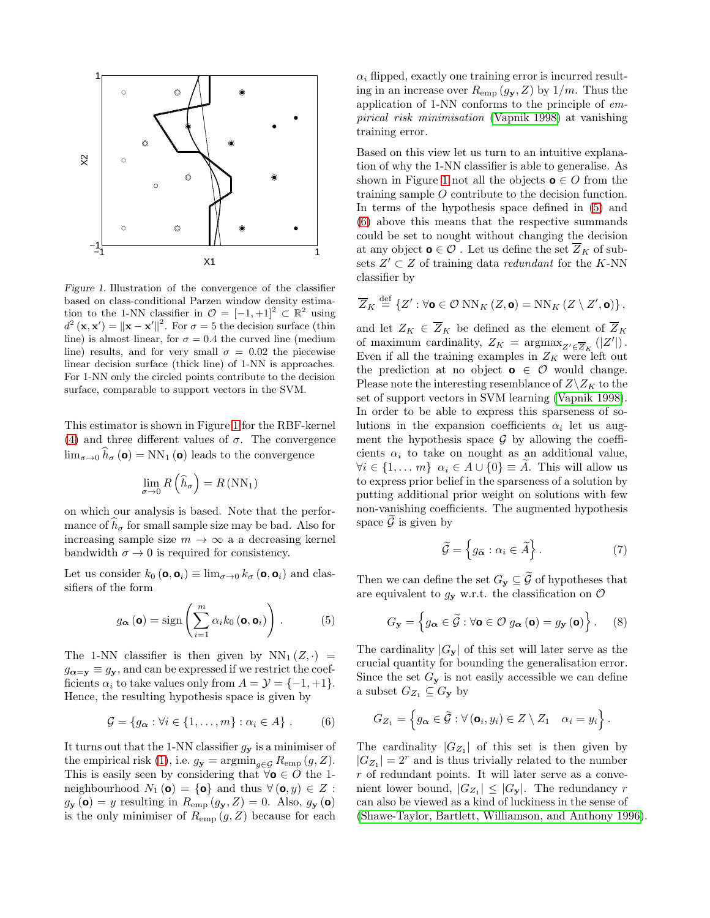

<span id="page-3-0"></span>Figure 1. Illustration of the convergence of the classifier based on class-conditional Parzen window density estimation to the 1-NN classifier in  $\mathcal{O} = [-1, +1]^2 \subset \mathbb{R}^2$  using  $d^2(\mathbf{x}, \mathbf{x}') = ||\mathbf{x} - \mathbf{x}'||^2$ . For  $\sigma = 5$  the decision surface (thin line) is almost linear, for  $\sigma = 0.4$  the curved line (medium line) results, and for very small  $\sigma = 0.02$  the piecewise linear decision surface (thick line) of 1-NN is approaches. For 1-NN only the circled points contribute to the decision surface, comparable to support vectors in the SVM.

This estimator is shown in Figure [1](#page-3-0) for the RBF-kernel [\(4\)](#page-2-2) and three different values of  $\sigma$ . The convergence  $\lim_{\sigma \to 0} \hat{h}_{\sigma} (\mathbf{o}) = \text{NN}_1 (\mathbf{o})$  leads to the convergence

$$
\lim_{\sigma \to 0} R\left(\widehat{h}_{\sigma}\right) = R\left(\text{NN}_1\right)
$$

on which our analysis is based. Note that the performance of  $h_{\sigma}$  for small sample size may be bad. Also for increasing sample size  $m \to \infty$  a a decreasing kernel bandwidth  $\sigma \to 0$  is required for consistency.

Let us consider  $k_0(\mathbf{o}, \mathbf{o}_i) \equiv \lim_{\sigma \to 0} k_{\sigma}(\mathbf{o}, \mathbf{o}_i)$  and classifiers of the form

<span id="page-3-1"></span>
$$
g_{\boldsymbol{\alpha}}\left(\mathbf{0}\right) = \text{sign}\left(\sum_{i=1}^{m} \alpha_{i} k_{0}\left(\mathbf{0}, \mathbf{0}_{i}\right)\right). \tag{5}
$$

The 1-NN classifier is then given by  $NN_1(Z, \cdot)$  =  $g_{\boldsymbol{\alpha}=\mathbf{y}} \equiv g_{\mathbf{y}}$ , and can be expressed if we restrict the coefficients  $\alpha_i$  to take values only from  $A = \mathcal{Y} = \{-1, +1\}.$ Hence, the resulting hypothesis space is given by

<span id="page-3-2"></span>
$$
\mathcal{G} = \{g_{\alpha} : \forall i \in \{1, \dots, m\} : \alpha_i \in A\} .
$$
 (6)

It turns out that the 1-NN classifier  $g_{\mathbf{y}}$  is a minimiser of the empirical risk [\(1\)](#page-1-2), i.e.  $g_{\mathbf{y}} = \operatorname{argmin}_{g \in \mathcal{G}} R_{\text{emp}}(g, Z)$ . This is easily seen by considering that  $\forall o \in O$  the 1neighbourhood  $N_1$  (**o**) = {**o**} and thus  $\forall$  (**o**, *y*)  $\in Z$ :  $g_{\mathbf{y}}(\mathbf{o}) = y$  resulting in  $R_{\text{emp}}(g_{\mathbf{y}}, Z) = 0$ . Also,  $g_{\mathbf{y}}(\mathbf{o})$ is the only minimiser of  $R_{\text{emp}}(g, Z)$  because for each

 $\alpha_i$  flipped, exactly one training error is incurred resulting in an increase over  $R_{\text{emp}}(g_{\mathbf{v}}, Z)$  by  $1/m$ . Thus the application of 1-NN conforms to the principle of empirical risk minimisation [\(Vapnik 1998\)](#page-7-5) at vanishing training error.

Based on this view let us turn to an intuitive explanation of why the 1-NN classifier is able to generalise. As shown in Figure [1](#page-3-0) not all the objects **o**  $\in$  *O* from the training sample O contribute to the decision function. In terms of the hypothesis space defined in [\(5\)](#page-3-1) and [\(6\)](#page-3-2) above this means that the respective summands could be set to nought without changing the decision at any object  $\mathbf{o} \in \mathcal{O}$ . Let us define the set  $\overline{Z}_K$  of subsets  $Z' \subset Z$  of training data *redundant* for the K-NN classifier by

$$
\overline{Z}_K \stackrel{\text{def}}{=} \left\{ Z' : \forall \mathbf{o} \in \mathcal{O} \text{ NN}_K (Z, \mathbf{o}) = \text{NN}_K (Z \setminus Z', \mathbf{o}) \right\},\
$$

and let  $Z_K \in \overline{Z}_K$  be defined as the element of  $\overline{Z}_K$ of maximum cardinality,  $Z_K = \operatorname{argmax}_{Z' \in \overline{Z}_K} (|Z'|)$ . Even if all the training examples in  $Z_K$  were left out the prediction at no object  $\mathbf{o} \in \mathcal{O}$  would change. Please note the interesting resemblance of  $Z\backslash Z_K$  to the set of support vectors in SVM learning [\(Vapnik 1998\)](#page-7-5). In order to be able to express this sparseness of solutions in the expansion coefficients  $\alpha_i$  let us augment the hypothesis space  $\mathcal G$  by allowing the coefficients  $\alpha_i$  to take on nought as an additional value,  $\forall i \in \{1, ..., m\} \; \alpha_i \in A \cup \{0\} \equiv A$ . This will allow us to express prior belief in the sparseness of a solution by putting additional prior weight on solutions with few non-vanishing coefficients. The augmented hypothesis space  $\widetilde{\mathcal{G}}$  is given by

<span id="page-3-3"></span>
$$
\widetilde{\mathcal{G}} = \left\{ g_{\widetilde{\alpha}} : \alpha_i \in \widetilde{A} \right\}.
$$
 (7)

Then we can define the set  $G_{\mathbf{y}} \subseteq \widetilde{\mathcal{G}}$  of hypotheses that are equivalent to  $g_{\mathbf{y}}$  w.r.t. the classification on  $\mathcal{O}$ 

$$
G_{\mathbf{y}} = \left\{ g_{\boldsymbol{\alpha}} \in \widetilde{\mathcal{G}} : \forall \mathbf{o} \in \mathcal{O} \ g_{\boldsymbol{\alpha}} \left( \mathbf{o} \right) = g_{\mathbf{y}} \left( \mathbf{o} \right) \right\}.
$$
 (8)

The cardinality  $|G_{y}|$  of this set will later serve as the crucial quantity for bounding the generalisation error. Since the set  $G_{\mathbf{y}}$  is not easily accessible we can define a subset  $G_{Z_1} \subseteq G_{\mathbf{y}}$  by

$$
G_{Z_1} = \left\{ g_{\boldsymbol{\alpha}} \in \widetilde{\mathcal{G}} : \forall (\mathbf{o}_i, y_i) \in Z \setminus Z_1 \quad \alpha_i = y_i \right\}.
$$

The cardinality  $|G_{Z_1}|$  of this set is then given by  $|G_{Z_1}| = 2^r$  and is thus trivially related to the number r of redundant points. It will later serve as a convenient lower bound,  $|G_{Z_1}| \leq |G_{\mathbf{y}}|$ . The redundancy r can also be viewed as a kind of luckiness in the sense of [\(Shawe-Taylor, Bartlett, Williamson, and Anthony 1996\)](#page-7-6).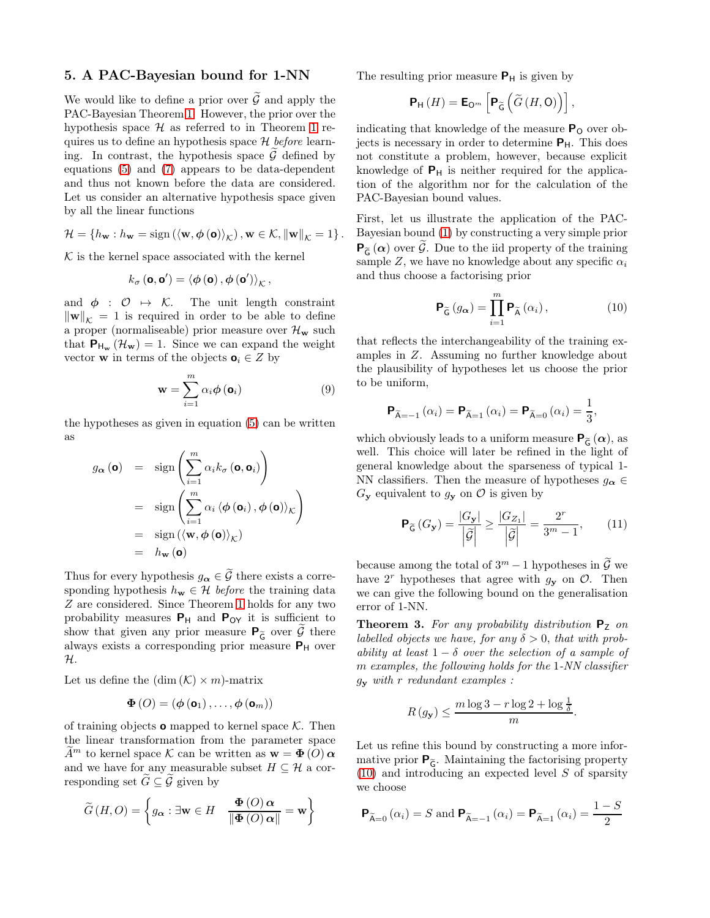### <span id="page-4-0"></span>5. A PAC-Bayesian bound for 1-NN

We would like to define a prior over  $\tilde{\mathcal{G}}$  and apply the PAC-Bayesian Theorem [1.](#page-1-1) However, the prior over the hypothesis space  $H$  as referred to in Theorem [1](#page-1-1) requires us to define an hypothesis space  $\mathcal H$  before learning. In contrast, the hypothesis space  $\tilde{\mathcal{G}}$  defined by equations [\(5\)](#page-3-1) and [\(7\)](#page-3-3) appears to be data-dependent and thus not known before the data are considered. Let us consider an alternative hypothesis space given by all the linear functions

$$
\mathcal{H} = \left\{ h_{\mathbf{w}} : h_{\mathbf{w}} = \text{sign}\left( \left\langle \mathbf{w}, \boldsymbol{\phi}\left(\mathbf{0}\right) \right\rangle_{\mathcal{K}} \right), \mathbf{w} \in \mathcal{K}, \left\| \mathbf{w} \right\|_{\mathcal{K}} = 1 \right\}.
$$

 $K$  is the kernel space associated with the kernel

$$
k_{\sigma}\left(\mathbf{0},\mathbf{0}'\right)=\left\langle \phi\left(\mathbf{0}\right),\phi\left(\mathbf{0}'\right)\right\rangle _{\mathcal{K}},
$$

and  $\phi : \mathcal{O} \mapsto \mathcal{K}$ . The unit length constraint  $\|\mathbf{w}\|_{\mathcal{K}} = 1$  is required in order to be able to define a proper (normaliseable) prior measure over  $\mathcal{H}_{\mathbf{w}}$  such that  $P_{H_w}(\mathcal{H}_w) = 1$ . Since we can expand the weight vector **w** in terms of the objects  $\mathbf{o}_i \in Z$  by

$$
\mathbf{w} = \sum_{i=1}^{m} \alpha_i \phi(\mathbf{o}_i)
$$
 (9)

the hypotheses as given in equation [\(5\)](#page-3-1) can be written as

$$
g_{\alpha}(\mathbf{o}) = \text{sign}\left(\sum_{i=1}^{m} \alpha_{i} k_{\sigma}(\mathbf{o}, \mathbf{o}_{i})\right)
$$
  
= 
$$
\text{sign}\left(\sum_{i=1}^{m} \alpha_{i} \langle \phi(\mathbf{o}_{i}), \phi(\mathbf{o}) \rangle_{\mathcal{K}}\right)
$$
  
= 
$$
\text{sign}\left(\langle \mathbf{w}, \phi(\mathbf{o}) \rangle_{\mathcal{K}}\right)
$$
  
= 
$$
h_{\mathbf{w}}(\mathbf{o})
$$

Thus for every hypothesis  $g_{\alpha} \in \widetilde{\mathcal{G}}$  there exists a corresponding hypothesis  $h_{\mathbf{w}} \in \mathcal{H}$  before the training data Z are considered. Since Theorem [1](#page-1-1) holds for any two probability measures  $P_H$  and  $P_{OY}$  it is sufficient to show that given any prior measure  $P_{\tilde{G}}$  over  $\tilde{\mathcal{G}}$  there always exists a corresponding prior measure  $P_H$  over H.

Let us define the  $(\dim (\mathcal{K}) \times m)$ -matrix

$$
\boldsymbol{\Phi}\left(O\right)=\left(\boldsymbol{\phi}\left(\mathbf{o}_{1}\right),\ldots,\boldsymbol{\phi}\left(\mathbf{o}_{m}\right)\right)
$$

of training objects **o** mapped to kernel space  $K$ . Then the linear transformation from the parameter space  $A^m$  to kernel space K can be written as  $\mathbf{w} = \mathbf{\Phi}(O) \mathbf{\alpha}$ and we have for any measurable subset  $H \subseteq \mathcal{H}$  a corresponding set  $\widetilde{G} \subseteq \widetilde{\mathcal{G}}$  given by

$$
\widetilde{G}(H, O) = \left\{ g_{\alpha} : \exists \mathbf{w} \in H \quad \frac{\Phi(O) \alpha}{\|\Phi(O) \alpha\|} = \mathbf{w} \right\}
$$

The resulting prior measure  $P_H$  is given by

$$
\mathbf{P}_{\mathsf{H}}\left(H\right)=\mathsf{E}_{\mathsf{O}^{m}}\left[\mathsf{P}_{\widetilde{\mathsf{G}}}\left(\widetilde{G}\left(H,\mathsf{O}\right)\right)\right],
$$

indicating that knowledge of the measure  $P_{\Omega}$  over objects is necessary in order to determine PH. This does not constitute a problem, however, because explicit knowledge of  $P_H$  is neither required for the application of the algorithm nor for the calculation of the PAC-Bayesian bound values.

First, let us illustrate the application of the PAC-Bayesian bound [\(1\)](#page-1-1) by constructing a very simple prior  $\mathsf{P}_{\widetilde{\mathsf{G}}}(\alpha)$  over  $\widetilde{\mathcal{G}}$ . Due to the iid property of the training sample Z, we have no knowledge about any specific  $\alpha_i$ and thus choose a factorising prior

<span id="page-4-1"></span>
$$
\mathbf{P}_{\widetilde{\mathsf{G}}}\left(g_{\alpha}\right) = \prod_{i=1}^{m} \mathbf{P}_{\widetilde{\mathsf{A}}}\left(\alpha_{i}\right),\tag{10}
$$

that reflects the interchangeability of the training examples in Z. Assuming no further knowledge about the plausibility of hypotheses let us choose the prior to be uniform,

$$
\mathbf{P}_{\widetilde{\mathsf{A}}=-1}(\alpha_i) = \mathbf{P}_{\widetilde{\mathsf{A}}=1}(\alpha_i) = \mathbf{P}_{\widetilde{\mathsf{A}}=0}(\alpha_i) = \frac{1}{3},
$$

which obviously leads to a uniform measure  $P_{\tilde{G}}(\alpha)$ , as well. This choice will later be refined in the light of general knowledge about the sparseness of typical 1- NN classifiers. Then the measure of hypotheses  $g_{\alpha} \in$  $G_{\mathbf{y}}$  equivalent to  $g_{\mathbf{y}}$  on  $\mathcal{O}$  is given by

<span id="page-4-2"></span>
$$
\mathbf{P}_{\widetilde{\mathsf{G}}}\left(G_{\mathbf{y}}\right) = \frac{|G_{\mathbf{y}}|}{\left|\widetilde{\mathcal{G}}\right|} \ge \frac{|G_{Z_1}|}{\left|\widetilde{\mathcal{G}}\right|} = \frac{2^r}{3^m - 1},\qquad(11)
$$

because among the total of  $3^m - 1$  hypotheses in  $\widetilde{\mathcal{G}}$  we have  $2^r$  hypotheses that agree with  $g_y$  on  $\mathcal{O}$ . Then we can give the following bound on the generalisation error of 1-NN.

<span id="page-4-3"></span>**Theorem 3.** For any probability distribution  $P_Z$  on labelled objects we have, for any  $\delta > 0$ , that with probability at least  $1 - \delta$  over the selection of a sample of m examples, the following holds for the 1-NN classifier  $g_{\mathbf{y}}$  with r redundant examples :

$$
R(g_{y}) \leq \frac{m \log 3 - r \log 2 + \log \frac{1}{\delta}}{m}.
$$

Let us refine this bound by constructing a more informative prior  $P_{\tilde{G}}$ . Maintaining the factorising property [\(10\)](#page-4-1) and introducing an expected level S of sparsity we choose

$$
\mathbf{P}_{\widetilde{\mathsf{A}}=0}(\alpha_i) = S \text{ and } \mathbf{P}_{\widetilde{\mathsf{A}}=-1}(\alpha_i) = \mathbf{P}_{\widetilde{\mathsf{A}}=1}(\alpha_i) = \frac{1-S}{2}
$$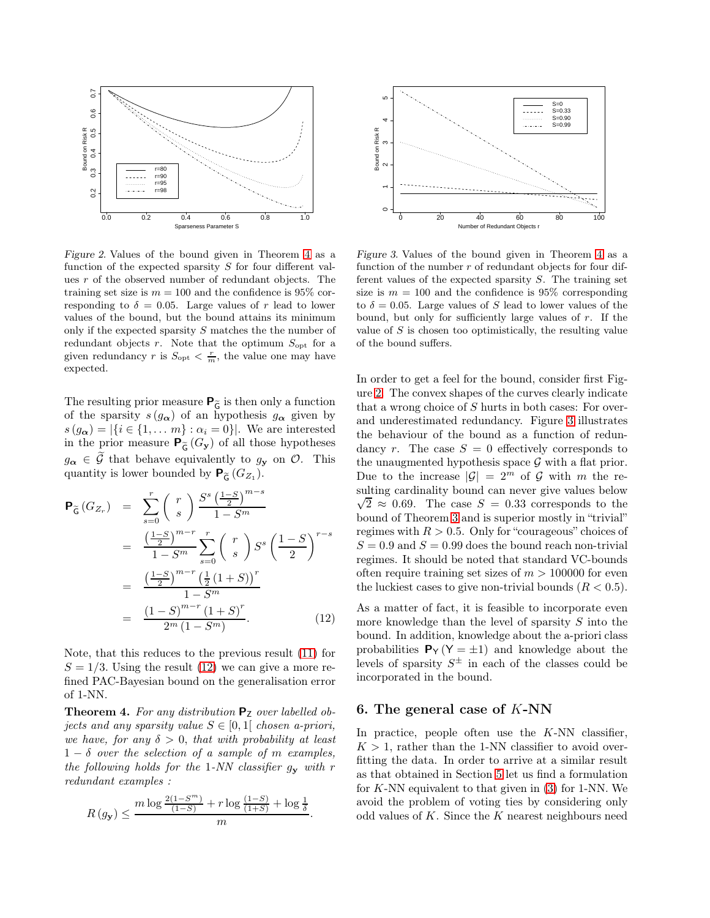

<span id="page-5-3"></span>Figure 2. Values of the bound given in Theorem [4](#page-5-1) as a function of the expected sparsity  $S$  for four different values r of the observed number of redundant objects. The training set size is  $m = 100$  and the confidence is 95% corresponding to  $\delta = 0.05$ . Large values of r lead to lower values of the bound, but the bound attains its minimum only if the expected sparsity S matches the the number of redundant objects  $r$ . Note that the optimum  $S_{\text{opt}}$  for a given redundancy r is  $S_{\text{opt}} < \frac{r}{m}$ , the value one may have expected.

The resulting prior measure  $\mathsf{P}_{\widetilde{\mathsf{G}}}$  is then only a function of the sparsity  $s(g_{\alpha})$  of an hypothesis  $g_{\alpha}$  given by  $s(g_{\alpha}) = |\{i \in \{1, \dots m\} : \alpha_i = 0\}|.$  We are interested in the prior measure  $\mathbf{P}_{\widetilde{\mathsf{G}}}(G_{\mathbf{y}})$  of all those hypotheses  $g_{\alpha} \in \mathcal{G}$  that behave equivalently to  $g_{\mathbf{y}}$  on  $\mathcal{O}$ . This quantity is lower bounded by  $P_{\widetilde{\mathsf{G}}}(G_{Z_1})$ .

<span id="page-5-2"></span>
$$
\begin{split} \mathsf{P}_{\widetilde{\mathsf{G}}}\left(G_{Z_{r}}\right) &= \sum_{s=0}^{r} \binom{r}{s} \frac{S^{s}\left(\frac{1-S}{2}\right)^{m-s}}{1-S^{m}} \\ &= \frac{\left(\frac{1-S}{2}\right)^{m-r}}{1-S^{m}} \sum_{s=0}^{r} \binom{r}{s} S^{s}\left(\frac{1-S}{2}\right)^{r-s} \\ &= \frac{\left(\frac{1-S}{2}\right)^{m-r}\left(\frac{1}{2}(1+S)\right)^{r}}{1-S^{m}} \\ &= \frac{\left(1-S\right)^{m-r}\left(1+S\right)^{r}}{2^{m}\left(1-S^{m}\right)}. \end{split} \tag{12}
$$

Note, that this reduces to the previous result [\(11\)](#page-4-2) for  $S = 1/3$ . Using the result [\(12\)](#page-5-2) we can give a more refined PAC-Bayesian bound on the generalisation error of 1-NN.

<span id="page-5-1"></span>**Theorem 4.** For any distribution  $P_7$  over labelled objects and any sparsity value  $S \in [0,1]$  chosen a-priori, we have, for any  $\delta > 0$ , that with probability at least  $1 - \delta$  over the selection of a sample of m examples, the following holds for the 1-NN classifier  $g_{\mathbf{y}}$  with r redundant examples :

$$
R\left(g_{\mathbf{y}}\right) \leq \frac{m\log\frac{2\left(1-S^m\right)}{\left(1-S\right)}+r\log\frac{\left(1-S\right)}{\left(1+S\right)}+\log\frac{1}{\delta}}{m}
$$

.



<span id="page-5-4"></span>Figure 3. Values of the bound given in Theorem [4](#page-5-1) as a function of the number  $r$  of redundant objects for four different values of the expected sparsity  $S$ . The training set size is  $m = 100$  and the confidence is 95% corresponding to  $\delta = 0.05$ . Large values of S lead to lower values of the bound, but only for sufficiently large values of  $r$ . If the value of  $S$  is chosen too optimistically, the resulting value of the bound suffers.

In order to get a feel for the bound, consider first Figure [2.](#page-5-3) The convex shapes of the curves clearly indicate that a wrong choice of S hurts in both cases: For overand underestimated redundancy. Figure [3](#page-5-4) illustrates the behaviour of the bound as a function of redundancy r. The case  $S = 0$  effectively corresponds to the unaugmented hypothesis space  $\mathcal G$  with a flat prior. Due to the increase  $|\mathcal{G}| = 2^m$  of G with m the resulting cardinality bound can never give values below  $\sqrt{2} \approx 0.69$ . The case  $S = 0.33$  corresponds to the bound of Theorem [3](#page-4-3) and is superior mostly in "trivial" regimes with  $R > 0.5$ . Only for "courageous" choices of  $S = 0.9$  and  $S = 0.99$  does the bound reach non-trivial regimes. It should be noted that standard VC-bounds often require training set sizes of  $m > 100000$  for even the luckiest cases to give non-trivial bounds  $(R < 0.5)$ .

As a matter of fact, it is feasible to incorporate even more knowledge than the level of sparsity  $S$  into the bound. In addition, knowledge about the a-priori class probabilities  $P_Y (Y = \pm 1)$  and knowledge about the levels of sparsity  $S^{\pm}$  in each of the classes could be incorporated in the bound.

### <span id="page-5-0"></span>6. The general case of K-NN

In practice, people often use the  $K-NN$  classifier,  $K > 1$ , rather than the 1-NN classifier to avoid overfitting the data. In order to arrive at a similar result as that obtained in Section [5](#page-4-0) let us find a formulation for  $K$ -NN equivalent to that given in  $(3)$  for 1-NN. We avoid the problem of voting ties by considering only odd values of  $K$ . Since the  $K$  nearest neighbours need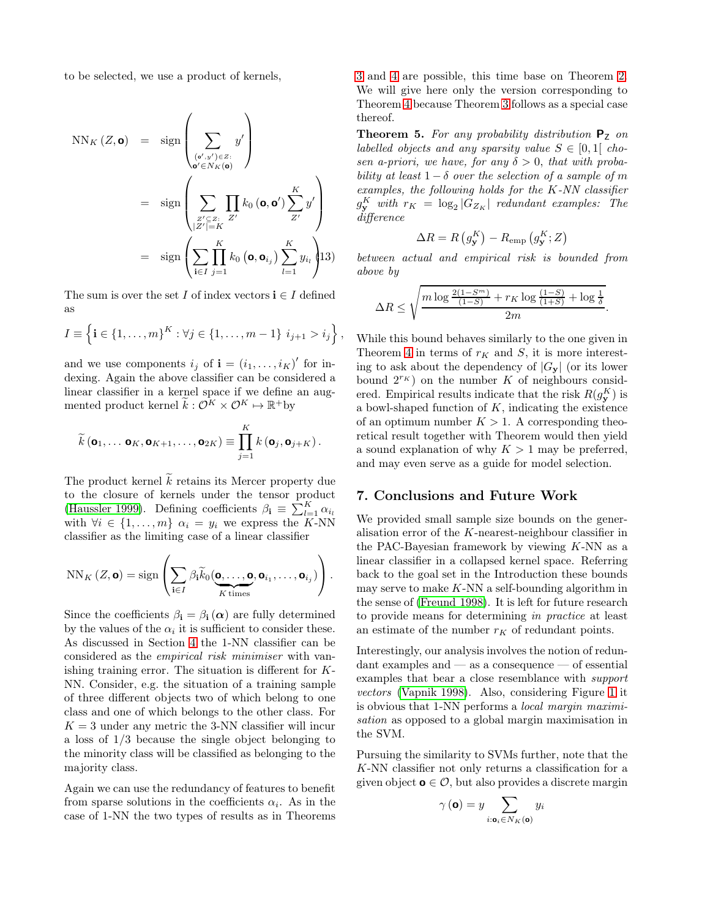to be selected, we use a product of kernels,

$$
NN_K(Z, \mathbf{o}) = \operatorname{sign}\left(\sum_{\substack{(\mathbf{o}', y') \in Z:\\ \mathbf{o}' \in N_K(\mathbf{o})}} y'\right)
$$
  
= 
$$
\operatorname{sign}\left(\sum_{\substack{z' \subseteq Z:\\|Z'| = K}} \prod_{Z'} k_0 (\mathbf{o}, \mathbf{o}') \sum_{Z'}^{K} y'\right)
$$
  
= 
$$
\operatorname{sign}\left(\sum_{i \in I} \prod_{j=1}^{K} k_0 (\mathbf{o}, \mathbf{o}_{i_j}) \sum_{l=1}^{K} y_{i_l} \right)
$$
13)

The sum is over the set I of index vectors  $\mathbf{i} \in I$  defined as

$$
I \equiv \left\{ \mathbf{i} \in \{1, \ldots, m\}^K : \forall j \in \{1, \ldots, m-1\} \ i_{j+1} > i_j \right\},\
$$

and we use components  $i_j$  of  $\mathbf{i} = (i_1, \dots, i_K)'$  for indexing. Again the above classifier can be considered a linear classifier in a kernel space if we define an augmented product kernel  $\widetilde{k}: \mathcal{O}^K \times \mathcal{O}^K \mapsto \mathbb{R}^+$ by

$$
\widetilde{k}(\mathbf{o}_1,\ldots \mathbf{o}_K,\mathbf{o}_{K+1},\ldots,\mathbf{o}_{2K})\equiv \prod_{j=1}^K k(\mathbf{o}_j,\mathbf{o}_{j+K}).
$$

The product kernel  $\widetilde{k}$  retains its Mercer property due to the closure of kernels under the tensor product [\(Haussler 1999\)](#page-7-11). Defining coefficients  $\beta_i \equiv \sum_{l=1}^{K} \alpha_{i_l}$ with  $\forall i \in \{1, \ldots, m\}$   $\alpha_i = y_i$  we express the K-NN classifier as the limiting case of a linear classifier

$$
NN_K(Z,\mathbf{o}) = \text{sign}\left(\sum_{\mathbf{i}\in I}\beta_{\mathbf{i}}\widetilde{k}_0(\underbrace{\mathbf{o},\ldots,\mathbf{o}}_{K \text{ times}},\mathbf{o}_{i_1},\ldots,\mathbf{o}_{i_j})\right).
$$

Since the coefficients  $\beta_i = \beta_i(\alpha)$  are fully determined by the values of the  $\alpha_i$  it is sufficient to consider these. As discussed in Section [4](#page-2-1) the 1-NN classifier can be considered as the empirical risk minimiser with vanishing training error. The situation is different for K-NN. Consider, e.g. the situation of a training sample of three different objects two of which belong to one class and one of which belongs to the other class. For  $K = 3$  under any metric the 3-NN classifier will incur a loss of 1/3 because the single object belonging to the minority class will be classified as belonging to the majority class.

Again we can use the redundancy of features to benefit from sparse solutions in the coefficients  $\alpha_i$ . As in the case of 1-NN the two types of results as in Theorems [3](#page-4-3) and [4](#page-5-1) are possible, this time base on Theorem [2.](#page-1-3) We will give here only the version corresponding to Theorem [4](#page-5-1) because Theorem [3](#page-4-3) follows as a special case thereof.

**Theorem 5.** For any probability distribution  $P_z$  on labelled objects and any sparsity value  $S \in [0,1]$  chosen a-priori, we have, for any  $\delta > 0$ , that with probability at least  $1 - \delta$  over the selection of a sample of m examples, the following holds for the K-NN classifier  $g_{\mathbf{y}_{\infty}}^{K}$  with  $r_K = \log_2|G_{Z_K}|$  redundant examples: The difference

$$
\Delta R = R(g_{\mathbf{y}}^{K}) - R_{\text{emp}}(g_{\mathbf{y}}^{K}; Z)
$$

between actual and empirical risk is bounded from above by

$$
\Delta R \le \sqrt{\frac{m \log \frac{2(1-S^m)}{(1-S)} + r_K \log \frac{(1-S)}{(1+S)} + \log \frac{1}{\delta}}{2m}}.
$$

While this bound behaves similarly to the one given in Theorem [4](#page-5-1) in terms of  $r_K$  and S, it is more interesting to ask about the dependency of  $|G_{y}|$  (or its lower bound  $2^{r_K}$ ) on the number K of neighbours considered. Empirical results indicate that the risk  $R(g_{\mathbf{y}}^K)$  is a bowl-shaped function of  $K$ , indicating the existence of an optimum number  $K > 1$ . A corresponding theoretical result together with Theorem would then yield a sound explanation of why  $K > 1$  may be preferred, and may even serve as a guide for model selection.

### 7. Conclusions and Future Work

We provided small sample size bounds on the generalisation error of the K-nearest-neighbour classifier in the PAC-Bayesian framework by viewing  $K-NN$  as a linear classifier in a collapsed kernel space. Referring back to the goal set in the Introduction these bounds may serve to make  $K-NN$  a self-bounding algorithm in the sense of [\(Freund 1998\)](#page-7-4). It is left for future research to provide means for determining in practice at least an estimate of the number  $r_K$  of redundant points.

Interestingly, our analysis involves the notion of redundant examples and — as a consequence — of essential examples that bear a close resemblance with support vectors [\(Vapnik 1998\)](#page-7-5). Also, considering Figure [1](#page-3-0) it is obvious that 1-NN performs a local margin maximisation as opposed to a global margin maximisation in the SVM.

Pursuing the similarity to SVMs further, note that the K-NN classifier not only returns a classification for a given object  $o \in \mathcal{O}$ , but also provides a discrete margin

$$
\gamma\left(\mathbf{0}\right) = y \sum_{i:\mathbf{o}_i \in N_K(\mathbf{o})} y_i
$$